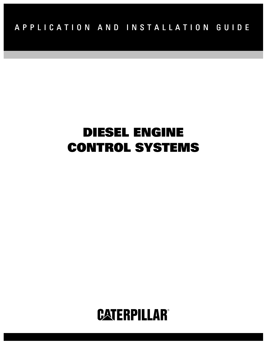# DIESEL ENGINE CONTROL SYSTEMS

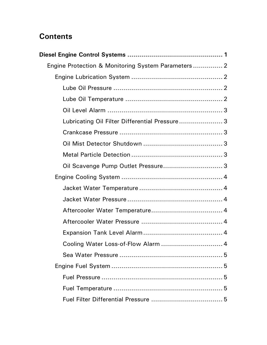# **Contents**

| Engine Protection & Monitoring System Parameters 2 |  |
|----------------------------------------------------|--|
|                                                    |  |
|                                                    |  |
|                                                    |  |
|                                                    |  |
| Lubricating Oil Filter Differential Pressure3      |  |
|                                                    |  |
|                                                    |  |
|                                                    |  |
|                                                    |  |
|                                                    |  |
|                                                    |  |
|                                                    |  |
|                                                    |  |
|                                                    |  |
|                                                    |  |
| Cooling Water Loss-of-Flow Alarm  4                |  |
|                                                    |  |
|                                                    |  |
|                                                    |  |
|                                                    |  |
|                                                    |  |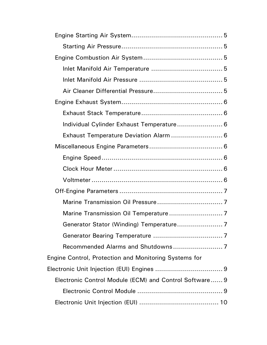| Individual Cylinder Exhaust Temperature 6              |  |
|--------------------------------------------------------|--|
| Exhaust Temperature Deviation Alarm  6                 |  |
|                                                        |  |
|                                                        |  |
|                                                        |  |
|                                                        |  |
|                                                        |  |
|                                                        |  |
|                                                        |  |
|                                                        |  |
|                                                        |  |
|                                                        |  |
| Engine Control, Protection and Monitoring Systems for  |  |
|                                                        |  |
| Electronic Control Module (ECM) and Control Software 9 |  |
|                                                        |  |
|                                                        |  |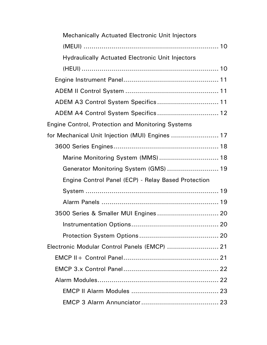| <b>Mechanically Actuated Electronic Unit Injectors</b>   |  |
|----------------------------------------------------------|--|
|                                                          |  |
| <b>Hydraulically Actuated Electronic Unit Injectors</b>  |  |
|                                                          |  |
|                                                          |  |
|                                                          |  |
| ADEM A3 Control System Specifics 11                      |  |
| ADEM A4 Control System Specifics 12                      |  |
| <b>Engine Control, Protection and Monitoring Systems</b> |  |
| for Mechanical Unit Injection (MUI) Engines  17          |  |
|                                                          |  |
| Marine Monitoring System (MMS) 18                        |  |
| Generator Monitoring System (GMS)  19                    |  |
| Engine Control Panel (ECP) - Relay Based Protection      |  |
|                                                          |  |
|                                                          |  |
|                                                          |  |
|                                                          |  |
|                                                          |  |
| Electronic Modular Control Panels (EMCP)  21             |  |
|                                                          |  |
|                                                          |  |
|                                                          |  |
|                                                          |  |
|                                                          |  |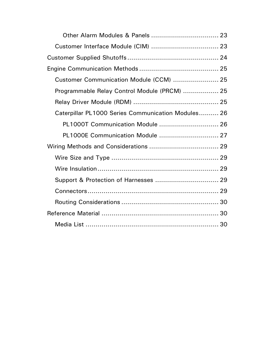| Customer Communication Module (CCM)  25            |  |
|----------------------------------------------------|--|
| Programmable Relay Control Module (PRCM)  25       |  |
|                                                    |  |
| Caterpillar PL1000 Series Communication Modules 26 |  |
| PL1000T Communication Module  26                   |  |
| PL1000E Communication Module  27                   |  |
|                                                    |  |
|                                                    |  |
|                                                    |  |
|                                                    |  |
|                                                    |  |
|                                                    |  |
|                                                    |  |
|                                                    |  |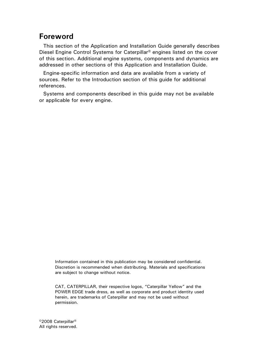# Foreword

This section of the Application and Installation Guide generally describes Diesel Engine Control Systems for Caterpillar® engines listed on the cover of this section. Additional engine systems, components and dynamics are addressed in other sections of this Application and Installation Guide.

Engine-specific information and data are available from a variety of sources. Refer to the Introduction section of this guide for additional references.

Systems and components described in this guide may not be available or applicable for every engine.

Information contained in this publication may be considered confidential. Discretion is recommended when distributing. Materials and specifications are subject to change without notice.

CAT, CATERPILLAR, their respective logos, "Caterpillar Yellow" and the POWER EDGE trade dress, as well as corporate and product identity used herein, are trademarks of Caterpillar and may not be used without permission.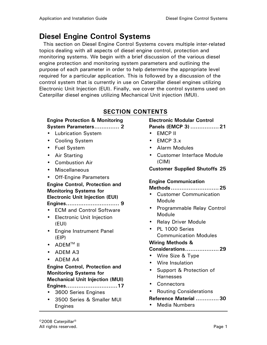# Diesel Engine Control Systems

This section on Diesel Engine Control Systems covers multiple inter-related topics dealing with all aspects of diesel engine control, protection and monitoring systems. We begin with a brief discussion of the various diesel engine protection and monitoring system parameters and outlining the purpose of each parameter in order to help determine the appropriate level required for a particular application. This is followed by a discussion of the control system that is currently in use on Caterpillar diesel engines utilizing Electronic Unit Injection (EUI). Finally, we cover the control systems used on Caterpillar diesel engines utilizing Mechanical Unit injection (MUI).

### SECTION CONTENTS

### Engine Protection & Monitoring

### System Parameters.............. 2

- Lubrication System
- Cooling System
- Fuel System
- Air Starting
- Combustion Air
- Miscellaneous
- Off-Engine Parameters

### Engine Control, Protection and Monitoring Systems for Electronic Unit Injection (EUI)

### Engines.............................. 9

- ECM and Control Software
- Electronic Unit Injection (EUI)
- Engine Instrument Panel (EIP)
- $\bullet$  ADEM<sup>TM</sup> II
- ADEM A3
- ADEM A4

### Engine Control, Protection and Monitoring Systems for Mechanical Unit Injection (MUI) Engines.............................17

- 3600 Series Engines
- 3500 Series & Smaller MUI Engines

#### Electronic Modular Control Panels (EMCP 3) ................21

- EMCP II
- EMCP 3.x
- Alarm Modules
- Customer Interface Module (CIM)

Customer Supplied Shutoffs 25

### Engine Communication

#### Methods...........................25

- Customer Communication Module
- Programmable Relay Control Module
- Relay Driver Module
- PL 1000 Series Communication Modules

### Wiring Methods &

### Considerations...................29

- Wire Size & Type
- Wire Insulation
- Support & Protection of Harnesses
- Connectors
- Routing Considerations

### Reference Material .............30

• Media Numbers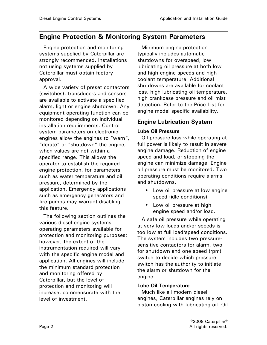# Engine Protection & Monitoring System Parameters

Engine protection and monitoring systems supplied by Caterpillar are strongly recommended. Installations not using systems supplied by Caterpillar must obtain factory approval.

A wide variety of preset contactors (switches), transducers and sensors are available to activate a specified alarm, light or engine shutdown. Any equipment operating function can be monitored depending on individual installation requirements. Control system parameters on electronic engines allow the engines to "warn", "derate" or "shutdown" the engine, when values are not within a specified range. This allows the operator to establish the required engine protection, for parameters such as water temperature and oil pressure, determined by the application. Emergency applications such as emergency generators and fire pumps may warrant disabling this feature.

The following section outlines the various diesel engine systems operating parameters available for protection and monitoring purposes; however, the extent of the instrumentation required will vary with the specific engine model and application. All engines will include the minimum standard protection and monitoring offered by Caterpillar, but the level of protection and monitoring will increase, commensurate with the level of investment.

Minimum engine protection typically includes automatic shutdowns for overspeed, low lubricating oil pressure at both low and high engine speeds and high coolant temperature. Additional shutdowns are available for coolant loss, high lubricating oil temperature, high crankcase pressure and oil mist detection. Refer to the Price List for engine model specific availability.

### Engine Lubrication System

#### Lube Oil Pressure

Oil pressure loss while operating at full power is likely to result in severe engine damage. Reduction of engine speed and load, or stopping the engine can minimize damage. Engine oil pressure must be monitored. Two operating conditions require alarms and shutdowns.

- Low oil pressure at low engine speed (idle conditions)
- Low oil pressure at high engine speed and/or load.

A safe oil pressure while operating at very low loads and/or speeds is too low at full load/speed conditions. The system includes two pressuresensitive contactors for alarm, two for shutdown and one speed (rpm) switch to decide which pressure switch has the authority to initiate the alarm or shutdown for the engine.

### Lube Oil Temperature

Much like all modern diesel engines, Caterpillar engines rely on piston cooling with lubricating oil. Oil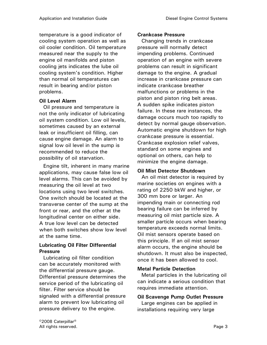temperature is a good indicator of cooling system operation as well as oil cooler condition. Oil temperature measured near the supply to the engine oil manifolds and piston cooling jets indicates the lube oil cooling system's condition. Higher than normal oil temperatures can result in bearing and/or piston problems.

### Oil Level Alarm

Oil pressure and temperature is not the only indicator of lubricating oil system condition. Low oil levels, sometimes caused by an external leak or insufficient oil filling, can cause engine damage. An alarm to signal low oil level in the sump is recommended to reduce the possibility of oil starvation.

Engine tilt, inherent in many marine applications, may cause false low oil level alarms. This can be avoided by measuring the oil level at two locations using two level switches. One switch should be located at the transverse center of the sump at the front or rear, and the other at the longitudinal center on either side. A true low level can be detected when both switches show low level at the same time.

### Lubricating Oil Filter Differential Pressure

Lubricating oil filter condition can be accurately monitored with the differential pressure gauge. Differential pressure determines the service period of the lubricating oil filter. Filter service should be signaled with a differential pressure alarm to prevent low lubricating oil pressure delivery to the engine.

### Crankcase Pressure

Changing trends in crankcase pressure will normally detect impending problems. Continued operation of an engine with severe problems can result in significant damage to the engine. A gradual increase in crankcase pressure can indicate crankcase breather malfunctions or problems in the piston and piston ring belt areas. A sudden spike indicates piston failure. In these rare instances, the damage occurs much too rapidly to detect by normal gauge observation. Automatic engine shutdown for high crankcase pressure is essential. Crankcase explosion relief valves, standard on some engines and optional on others, can help to minimize the engine damage.

### Oil Mist Detector Shutdown

An oil mist detector is required by marine societies on engines with a rating of 2250 bkW and higher, or 300 mm bore or larger. An impending main or connecting rod bearing failure can be inferred by measuring oil mist particle size. A smaller particle occurs when bearing temperature exceeds normal limits. Oil mist sensors operate based on this principle. If an oil mist sensor alarm occurs, the engine should be shutdown. It must also be inspected, once it has been allowed to cool.

### Metal Particle Detection

Metal particles in the lubricating oil can indicate a serious condition that requires immediate attention.

### Oil Scavenge Pump Outlet Pressure

Large engines can be applied in installations requiring very large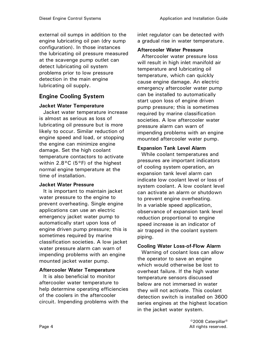external oil sumps in addition to the engine lubricating oil pan (dry sump configuration). In those instances the lubricating oil pressure measured at the scavenge pump outlet can detect lubricating oil system problems prior to low pressure detection in the main engine lubricating oil supply.

### Engine Cooling System

### Jacket Water Temperature

Jacket water temperature increase is almost as serious as loss of lubricating oil pressure but is more likely to occur. Similar reduction of engine speed and load, or stopping the engine can minimize engine damage. Set the high coolant temperature contactors to activate within 2.8°C (5°F) of the highest normal engine temperature at the time of installation.

### Jacket Water Pressure

It is important to maintain jacket water pressure to the engine to prevent overheating. Single engine applications can use an electric emergency jacket water pump to automatically start upon loss of engine driven pump pressure; this is sometimes required by marine classification societies. A low jacket water pressure alarm can warn of impending problems with an engine mounted jacket water pump.

### Aftercooler Water Temperature

It is also beneficial to monitor aftercooler water temperature to help determine operating efficiencies of the coolers in the aftercooler circuit. Impending problems with the inlet regulator can be detected with a gradual rise in water temperature.

### Aftercooler Water Pressure

Aftercooler water pressure loss will result in high inlet manifold air temperature and lubricating oil temperature, which can quickly cause engine damage. An electric emergency aftercooler water pump can be installed to automatically start upon loss of engine driven pump pressure; this is sometimes required by marine classification societies. A low aftercooler water pressure alarm can warn of impending problems with an engine mounted aftercooler water pump.

### Expansion Tank Level Alarm

While coolant temperatures and pressures are important indicators of cooling system operation, an expansion tank level alarm can indicate low coolant level or loss of system coolant. A low coolant level can activate an alarm or shutdown to prevent engine overheating. In a variable speed application, observance of expansion tank level reduction proportional to engine speed increase is an indicator of air trapped in the coolant system piping.

### Cooling Water Loss-of-Flow Alarm

Warning of coolant loss can allow the operator to save an engine which would otherwise be lost to overheat failure. If the high water temperature sensors discussed below are not immersed in water they will not activate. This coolant detection switch is installed on 3600 series engines at the highest location in the jacket water system.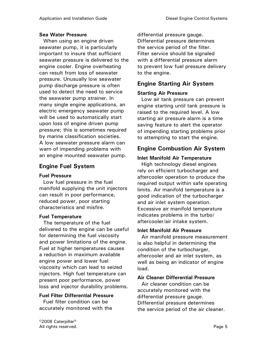### Sea Water Pressure

When using an engine driven seawater pump, it is particularly important to insure that sufficient seawater pressure is delivered to the engine cooler. Engine overheating can result from loss of seawater pressure. Unusually low seawater pump discharge pressure is often used to detect the need to service the seawater pump strainer. In many single engine applications, an electric emergency seawater pump will be used to automatically start upon loss of engine driven pump pressure; this is sometimes required by marine classification societies. A low seawater pressure alarm can warn of impending problems with an engine mounted seawater pump.

### Engine Fuel System

### Fuel Pressure

Low fuel pressure in the fuel manifold supplying the unit injectors can result in poor performance, reduced power, poor starting characteristics and misfire.

### Fuel Temperature

The temperature of the fuel delivered to the engine can be useful for determining the fuel viscosity and power limitations of the engine. Fuel at higher temperatures causes a reduction in maximum available engine power and lower fuel viscosity which can lead to seized injectors. High fuel temperature can present poor performance, power loss and injector durability problems.

### Fuel Filter Differential Pressure

Fuel filter condition can be accurately monitored with the differential pressure gauge. Differential pressure determines the service period of the filter. Filter service should be signaled with a differential pressure alarm to prevent low fuel pressure delivery to the engine.

### Engine Starting Air System

### Starting Air Pressure

Low air tank pressure can prevent engine starting until tank pressure is raised to the required level. A low starting air pressure alarm is a time saving feature to alert the operator of impending starting problems prior to attempting to start the engine.

### Engine Combustion Air System

### Inlet Manifold Air Temperature

High technology diesel engines rely on efficient turbocharger and aftercooler operation to produce the required output within safe operating limits. Air manifold temperature is a good indication of the turbocharger and air inlet system operation. Excessive air manifold temperature indicates problems in the turbo/ aftercooler/air intake system.

### Inlet Manifold Air Pressure

Air manifold pressure measurement is also helpful in determining the condition of the turbocharger, aftercooler and air inlet system, as well as being an indicator of engine load.

### Air Cleaner Differential Pressure

Air cleaner condition can be accurately monitored with the differential pressure gauge. Differential pressure determines the service period of the air cleaner.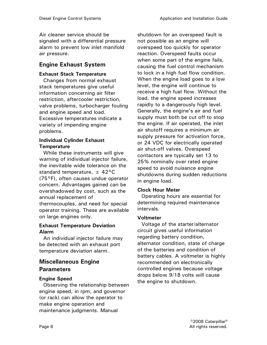Air cleaner service should be signaled with a differential pressure alarm to prevent low inlet manifold air pressure.

### Engine Exhaust System

### Exhaust Stack Temperature

Changes from normal exhaust stack temperatures give useful information concerning air filter restriction, aftercooler restriction, valve problems, turbocharger fouling and engine speed and load. Excessive temperatures indicate a variety of impending engine problems.

### Individual Cylinder Exhaust **Temperature**

While these instruments will give warning of individual injector failure, the inevitable wide tolerance on the standard temperature,  $\pm$  42°C (75°F), often causes undue operator concern. Advantages gained can be overshadowed by cost, such as the annual replacement of thermocouples, and need for special operator training. These are available on large engines only.

### Exhaust Temperature Deviation Alarm

An individual injector failure may be detected with an exhaust port temperature deviation alarm.

### Miscellaneous Engine **Parameters**

### Engine Speed

Observing the relationship between engine speed, in rpm, and governor (or rack) can allow the operator to make engine operation and maintenance judgments. Manual

shutdown for an overspeed fault is not possible as an engine will overspeed too quickly for operator reaction. Overspeed faults occur when some part of the engine fails, causing the fuel control mechanism to lock in a high fuel flow condition. When the engine load goes to a low level, the engine will continue to receive a high fuel flow. Without the load, the engine speed increases rapidly to a dangerously high level. Generally, the engine's air and fuel supply must both be cut off to stop the engine. If air operated, the inlet air shutoff requires a minimum air supply pressure for activation force, or 24 VDC for electrically operated air shut-off valves. Overspeed contactors are typically set 13 to 25% nominally over rated engine speed to avoid nuisance engine shutdowns during sudden reductions in engine load.

### Clock Hour Meter

Operating hours are essential for determining required maintenance intervals.

### Voltmeter

Voltage of the starter/alternator circuit gives useful information regarding battery condition, alternator condition, state of charge of the batteries and condition of battery cables. A voltmeter is highly recommended on electronically controlled engines because voltage drops below 9/18 volts will cause the engine to shutdown.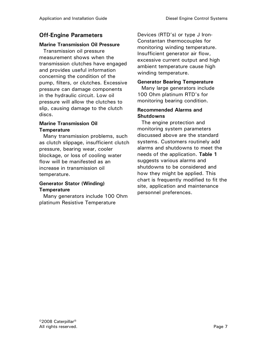### Off-Engine Parameters

#### Marine Transmission Oil Pressure

Transmission oil pressure measurement shows when the transmission clutches have engaged and provides useful information concerning the condition of the pump, filters, or clutches. Excessive pressure can damage components in the hydraulic circuit. Low oil pressure will allow the clutches to slip, causing damage to the clutch discs.

### Marine Transmission Oil **Temperature**

Many transmission problems, such as clutch slippage, insufficient clutch pressure, bearing wear, cooler blockage, or loss of cooling water flow will be manifested as an increase in transmission oil temperature.

### Generator Stator (Winding) **Temperature**

Many generators include 100 Ohm platinum Resistive Temperature

Devices (RTD's) or type J Iron-Constantan thermocouples for monitoring winding temperature. Insufficient generator air flow, excessive current output and high ambient temperature cause high winding temperature.

#### Generator Bearing Temperature

Many large generators include 100 Ohm platinum RTD's for monitoring bearing condition.

#### Recommended Alarms and **Shutdowns**

The engine protection and monitoring system parameters discussed above are the standard systems. Customers routinely add alarms and shutdowns to meet the needs of the application. Table 1 suggests various alarms and shutdowns to be considered and how they might be applied. This chart is frequently modified to fit the site, application and maintenance personnel preferences.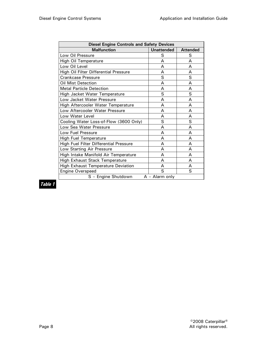| <b>Diesel Engine Controls and Safety Devices</b> |                   |                 |  |
|--------------------------------------------------|-------------------|-----------------|--|
| <b>Malfunction</b>                               | <b>Unattended</b> | <b>Attended</b> |  |
| Low Oil Pressure                                 | S                 | S               |  |
| <b>High Oil Temperature</b>                      | A                 | A               |  |
| Low Oil Level                                    | A                 | A               |  |
| High Oil Filter Differential Pressure            | А                 | А               |  |
| <b>Crankcase Pressure</b>                        | S                 | S               |  |
| Oil Mist Detection                               | A                 | А               |  |
| <b>Metal Particle Detection</b>                  | A                 | А               |  |
| High Jacket Water Temperature                    | S                 | S               |  |
| Low Jacket Water Pressure                        | A                 | А               |  |
| High Aftercooler Water Temperature               | A                 | А               |  |
| Low Aftercooler Water Pressure                   | A                 | A               |  |
| Low Water Level                                  | A                 | А               |  |
| Cooling Water Loss-of-Flow (3600 Only)           | S                 | S               |  |
| Low Sea Water Pressure                           | A                 | A               |  |
| Low Fuel Pressure                                | A                 | A               |  |
| <b>High Fuel Temperature</b>                     | A                 | A               |  |
| High Fuel Filter Differential Pressure           | A                 | A               |  |
| Low Starting Air Pressure                        | A                 | A               |  |
| High Intake Manifold Air Temperature             | A                 | A               |  |
| High Exhaust Stack Temperature                   | A                 | A               |  |
| <b>High Exhaust Temperature Deviation</b>        | А                 | А               |  |
| <b>Engine Overspeed</b>                          | S                 | S               |  |
| S - Engine Shutdown<br>$A -$ Alarm only          |                   |                 |  |

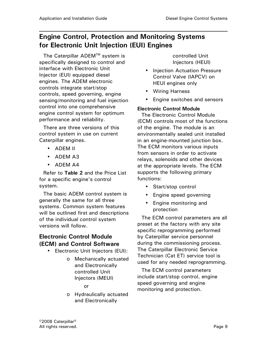# Engine Control, Protection and Monitoring Systems for Electronic Unit Injection (EUI) Engines

The Caterpillar ADEM™ system is specifically designed to control and interface with Electronic Unit Injector (EUI) equipped diesel engines. The ADEM electronic controls integrate start/stop controls, speed governing, engine sensing/monitoring and fuel injection control into one comprehensive engine control system for optimum performance and reliability.

There are three versions of this control system in use on current Caterpillar engines.

- ADEM II
- ADEM A3
- ADEM A4

Refer to Table 2 and the Price List for a specific engine's control system.

The basic ADEM control system is generally the same for all three systems. Common system features will be outlined first and descriptions of the individual control system versions will follow.

### Electronic Control Module (ECM) and Control Software

- Electronic Unit Injectors (EUI):
	- o Mechanically actuated and Electronically controlled Unit Injectors (MEUI)

or

o Hydraulically actuated and Electronically

controlled Unit Injectors (HEUI)

- Injection Actuation Pressure Control Valve (IAPCV) on HEUI engines only
- Wiring Harness
- Engine switches and sensors

### Electronic Control Module

The Electronic Control Module (ECM) controls most of the functions of the engine. The module is an environmentally sealed unit installed in an engine-mounted junction box. The ECM monitors various inputs from sensors in order to activate relays, solenoids and other devices at the appropriate levels. The ECM supports the following primary functions:

- Start/stop control
- Engine speed governing
- Engine monitoring and protection

The ECM control parameters are all preset at the factory with any site specific reprogramming performed by Caterpillar service personnel during the commissioning process. The Caterpillar Electronic Service Technician (Cat ET) service tool is used for any needed reprogramming.

The ECM control parameters include start/stop control, engine speed governing and engine monitoring and protection.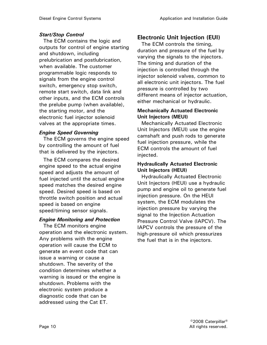### Start/Stop Control

The ECM contains the logic and outputs for control of engine starting and shutdown, including prelubrication and postlubrication, when available. The customer programmable logic responds to signals from the engine control switch, emergency stop switch, remote start switch, data link and other inputs, and the ECM controls the prelube pump (when available), the starting motor, and the electronic fuel injector solenoid valves at the appropriate times.

### Engine Speed Governing

The ECM governs the engine speed by controlling the amount of fuel that is delivered by the injectors.

The ECM compares the desired engine speed to the actual engine speed and adjusts the amount of fuel injected until the actual engine speed matches the desired engine speed. Desired speed is based on throttle switch position and actual speed is based on engine speed/timing sensor signals.

### Engine Monitoring and Protection

The ECM monitors engine operation and the electronic system. Any problems with the engine operation will cause the ECM to generate an event code that can issue a warning or cause a shutdown. The severity of the condition determines whether a warning is issued or the engine is shutdown. Problems with the electronic system produce a diagnostic code that can be addressed using the Cat ET.

### Electronic Unit Injection (EUI)

The ECM controls the timing, duration and pressure of the fuel by varying the signals to the injectors. The timing and duration of the injection is controlled through the injector solenoid valves, common to all electronic unit injectors. The fuel pressure is controlled by two different means of injector actuation, either mechanical or hydraulic.

### Mechanically Actuated Electronic Unit Injectors (MEUI)

Mechanically Actuated Electronic Unit Injectors (MEUI) use the engine camshaft and push rods to generate fuel injection pressure, while the ECM controls the amount of fuel injected.

### Hydraulically Actuated Electronic Unit Injectors (HEUI)

Hydraulically Actuated Electronic Unit Injectors (HEUI) use a hydraulic pump and engine oil to generate fuel injection pressure. On the HEUI system, the ECM modulates the injection pressure by varying the signal to the Injection Actuation Pressure Control Valve (IAPCV). The IAPCV controls the pressure of the high-pressure oil which pressurizes the fuel that is in the injectors.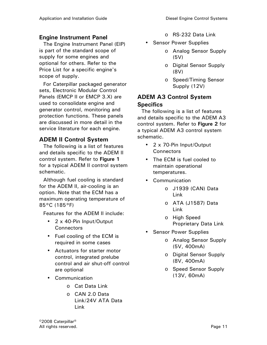### Engine Instrument Panel

The Engine Instrument Panel (EIP) is part of the standard scope of supply for some engines and optional for others. Refer to the Price List for a specific engine's scope of supply.

For Caterpillar packaged generator sets, Electronic Modular Control Panels (EMCP II or EMCP 3.X) are used to consolidate engine and generator control, monitoring and protection functions. These panels are discussed in more detail in the service literature for each engine.

### ADEM II Control System

The following is a list of features and details specific to the ADEM II control system. Refer to Figure 1 for a typical ADEM II control system schematic.

Although fuel cooling is standard for the ADEM II, air-cooling is an option. Note that the ECM has a maximum operating temperature of 85°C (185°F)

Features for the ADEM II include:

- 2 x 40-Pin Input/Output **Connectors**
- Fuel cooling of the ECM is required in some cases
- Actuators for starter motor control, integrated prelube control and air shut-off control are optional
- Communication
	- o Cat Data Link
	- o CAN 2.0 Data Link/24V ATA Data Link
- o RS-232 Data Link
- Sensor Power Supplies
	- o Analog Sensor Supply (5V)
	- o Digital Sensor Supply (8V)
	- o Speed/Timing Sensor Supply (12V)

### ADEM A3 Control System **Specifics**

The following is a list of features and details specific to the ADEM A3 control system. Refer to Figure 2 for a typical ADEM A3 control system schematic.

- 2 x 70-Pin Input/Output **Connectors**
- The ECM is fuel cooled to maintain operational temperatures.
- Communication
	- o J1939 (CAN) Data Link
	- o ATA (J1587) Data Link
	- o High Speed Proprietary Data Link
- Sensor Power Supplies
	- o Analog Sensor Supply (5V, 400mA)
	- o Digital Sensor Supply (8V, 400mA)
	- o Speed Sensor Supply (13V, 60mA)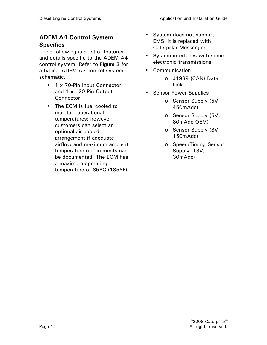### ADEM A4 Control System **Specifics**

The following is a list of features and details specific to the ADEM A4 control system. Refer to Figure 3 for a typical ADEM A3 control system schematic.

- 1 x 70-Pin Input Connector and 1 x 120-Pin Output **Connector**
- The ECM is fuel cooled to maintain operational temperatures; however, customers can select an optional air-cooled arrangement if adequate airflow and maximum ambient temperature requirements can be documented. The ECM has a maximum operating temperature of 85°C (185°F).
- System does not support EMS, it is replaced with Caterpillar Messenger
- System interfaces with some electronic transmissions
- Communication
	- o J1939 (CAN) Data Link
- Sensor Power Supplies
	- o Sensor Supply (5V, 450mAdc)
	- o Sensor Supply (5V, 80mAdc OEM)
	- o Sensor Supply (8V, 150mAdc)
	- o Speed/Timing Sensor Supply (13V, 30mAdc)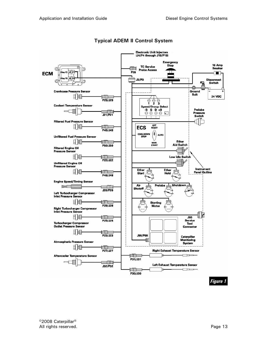

### Typical ADEM II Control System

Figure 1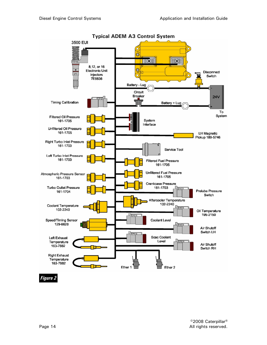

Figure 2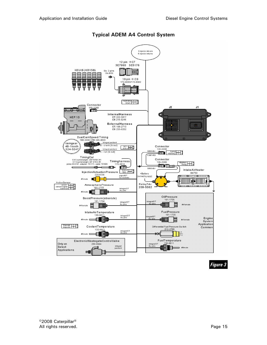

Typical ADEM A4 Control System

Figure 3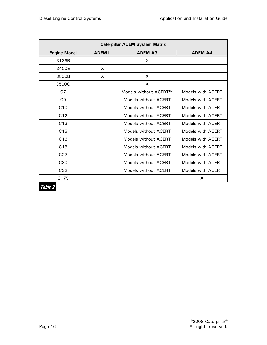| <b>Caterpillar ADEM System Matrix</b> |                |                             |                   |  |
|---------------------------------------|----------------|-----------------------------|-------------------|--|
| <b>Engine Model</b>                   | <b>ADEM II</b> | <b>ADEM A3</b>              | <b>ADEM A4</b>    |  |
| 3126B                                 |                | X                           |                   |  |
| 3400E                                 | $\mathsf{x}$   |                             |                   |  |
| 3500B                                 | X              | X                           |                   |  |
| 3500C                                 |                | X                           |                   |  |
| C7                                    |                | Models without ACERT™       | Models with ACERT |  |
| C <sub>9</sub>                        |                | <b>Models without ACERT</b> | Models with ACERT |  |
| C10                                   |                | Models without ACERT        | Models with ACERT |  |
| C12                                   |                | Models without ACERT        | Models with ACERT |  |
| C13                                   |                | Models without ACERT        | Models with ACERT |  |
| C <sub>15</sub>                       |                | Models without ACERT        | Models with ACERT |  |
| C16                                   |                | Models without ACERT        | Models with ACERT |  |
| C18                                   |                | Models without ACERT        | Models with ACERT |  |
| C <sub>27</sub>                       |                | Models without ACERT        | Models with ACERT |  |
| C <sub>30</sub>                       |                | Models without ACERT        | Models with ACERT |  |
| C <sub>32</sub>                       |                | Models without ACERT        | Models with ACERT |  |
| C <sub>175</sub>                      |                |                             | X                 |  |

Table 2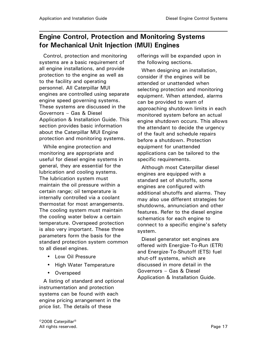# Engine Control, Protection and Monitoring Systems for Mechanical Unit Injection (MUI) Engines

Control, protection and monitoring systems are a basic requirement of all engine installations, and provide protection to the engine as well as to the facility and operating personnel. All Caterpillar MUI engines are controlled using separate engine speed governing systems. These systems are discussed in the Governors – Gas & Diesel Application & Installation Guide. This section provides basic information about the Caterpillar MUI Engine protection and monitoring systems.

While engine protection and monitoring are appropriate and useful for diesel engine systems in general, they are essential for the lubrication and cooling systems. The lubrication system must maintain the oil pressure within a certain range; oil temperature is internally controlled via a coolant thermostat for most arrangements. The cooling system must maintain the cooling water below a certain temperature. Overspeed protection is also very important. These three parameters form the basis for the standard protection system common to all diesel engines.

- Low Oil Pressure
- High Water Temperature
- Overspeed

A listing of standard and optional instrumentation and protection systems can be found with each engine pricing arrangement in the price list. The details of these

offerings will be expanded upon in the following sections.

When designing an installation, consider if the engines will be attended or unattended when selecting protection and monitoring equipment. When attended, alarms can be provided to warn of approaching shutdown limits in each monitored system before an actual engine shutdown occurs. This allows the attendant to decide the urgency of the fault and schedule repairs before a shutdown. Protection equipment for unattended applications can be tailored to the specific requirements.

Although most Caterpillar diesel engines are equipped with a standard set of shutoffs, some engines are configured with additional shutoffs and alarms. They may also use different strategies for shutdowns, annunciation and other features. Refer to the diesel engine schematics for each engine to connect to a specific engine's safety system.

Diesel generator set engines are offered with Energize-To-Run (ETR) and Energize-To-Shutoff (ETS) fuel shut-off systems, which are discussed in more detail in the Governors – Gas & Diesel Application & Installation Guide.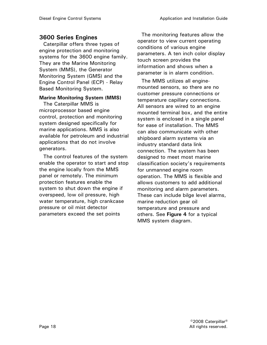### 3600 Series Engines

Caterpillar offers three types of engine protection and monitoring systems for the 3600 engine family. They are the Marine Monitoring System (MMS), the Generator Monitoring System (GMS) and the Engine Control Panel (ECP) - Relay Based Monitoring System.

#### Marine Monitoring System (MMS)

The Caterpillar MMS is microprocessor based engine control, protection and monitoring system designed specifically for marine applications. MMS is also available for petroleum and industrial applications that do not involve generators.

The control features of the system enable the operator to start and stop the engine locally from the MMS panel or remotely. The minimum protection features enable the system to shut down the engine if overspeed, low oil pressure, high water temperature, high crankcase pressure or oil mist detector parameters exceed the set points

The monitoring features allow the operator to view current operating conditions of various engine parameters. A ten inch color display touch screen provides the information and shows when a parameter is in alarm condition.

The MMS utilizes all enginemounted sensors, so there are no customer pressure connections or temperature capillary connections. All sensors are wired to an engine mounted terminal box, and the entire system is enclosed in a single panel for ease of installation. The MMS can also communicate with other shipboard alarm systems via an industry standard data link connection. The system has been designed to meet most marine classification society's requirements for unmanned engine room operation. The MMS is flexible and allows customers to add additional monitoring and alarm parameters. These can include bilge level alarms, marine reduction gear oil temperature and pressure and others. See Figure 4 for a typical MMS system diagram.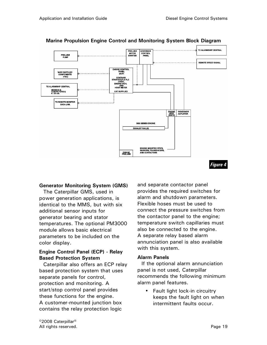

### Marine Propulsion Engine Control and Monitoring System Block Diagram

#### Generator Monitoring System (GMS)

The Caterpillar GMS, used in power generation applications, is identical to the MMS, but with six additional sensor inputs for generator bearing and stator temperatures. The optional PM3000 module allows basic electrical parameters to be included on the color display.

### Engine Control Panel (ECP) - Relay Based Protection System

Caterpillar also offers an ECP relay based protection system that uses separate panels for control, protection and monitoring. A start/stop control panel provides these functions for the engine. A customer-mounted junction box contains the relay protection logic

and separate contactor panel provides the required switches for alarm and shutdown parameters. Flexible hoses must be used to connect the pressure switches from the contactor panel to the engine; temperature switch capillaries must also be connected to the engine. A separate relay based alarm annunciation panel is also available with this system.

### Alarm Panels

If the optional alarm annunciation panel is not used, Caterpillar recommends the following minimum alarm panel features.

Fault light lock-in circuitry keeps the fault light on when intermittent faults occur.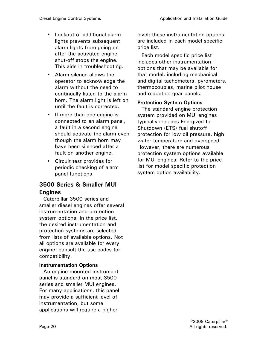- Lockout of additional alarm lights prevents subsequent alarm lights from going on after the activated engine shut-off stops the engine. This aids in troubleshooting.
- Alarm silence allows the operator to acknowledge the alarm without the need to continually listen to the alarm horn. The alarm light is left on until the fault is corrected.
- If more than one engine is connected to an alarm panel, a fault in a second engine should activate the alarm even though the alarm horn may have been silenced after a fault on another engine.
- Circuit test provides for periodic checking of alarm panel functions.

### 3500 Series & Smaller MUI Engines

Caterpillar 3500 series and smaller diesel engines offer several instrumentation and protection system options. In the price list, the desired instrumentation and protection systems are selected from lists of available options. Not all options are available for every engine; consult the use codes for compatibility.

### Instrumentation Options

An engine-mounted instrument panel is standard on most 3500 series and smaller MUI engines. For many applications, this panel may provide a sufficient level of instrumentation, but some applications will require a higher

level; these instrumentation options are included in each model specific price list.

Each model specific price list includes other instrumentation options that may be available for that model, including mechanical and digital tachometers, pyrometers, thermocouples, marine pilot house and reduction gear panels.

### Protection System Options

The standard engine protection system provided on MUI engines typically includes Energized to Shutdown (ETS) fuel shutoff protection for low oil pressure, high water temperature and overspeed. However, there are numerous protection system options available for MUI engines. Refer to the price list for model specific protection system option availability.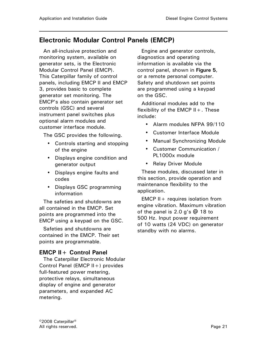# Electronic Modular Control Panels (EMCP)

An all-inclusive protection and monitoring system, available on generator sets, is the Electronic Modular Control Panel (EMCP). This Caterpillar family of control panels, including EMCP II and EMCP 3, provides basic to complete generator set monitoring. The EMCP's also contain generator set controls (GSC) and several instrument panel switches plus optional alarm modules and customer interface module.

The GSC provides the following.

- Controls starting and stopping of the engine
- Displays engine condition and generator output
- Displays engine faults and codes
- Displays GSC programming information

The safeties and shutdowns are all contained in the EMCP. Set points are programmed into the EMCP using a keypad on the GSC.

Safeties and shutdowns are contained in the EMCP. Their set points are programmable.

### EMCP II+ Control Panel

The Caterpillar Electronic Modular Control Panel (EMCP II+) provides full-featured power metering, protective relays, simultaneous display of engine and generator parameters, and expanded AC metering.

Engine and generator controls, diagnostics and operating information is available via the control panel, shown in Figure 5, or a remote personal computer. Safety and shutdown set points are programmed using a keypad on the GSC.

Additional modules add to the flexibility of the EMCP  $II +$ . These include:

- Alarm modules NFPA 99/110
- Customer Interface Module
- Manual Synchronizing Module
- Customer Communication / PL1000x module
- Relay Driver Module

These modules, discussed later in this section, provide operation and maintenance flexibility to the application.

EMCP II + requires isolation from engine vibration. Maximum vibration of the panel is 2.0 g's @ 18 to 500 Hz. Input power requirement of 10 watts (24 VDC) on generator standby with no alarms.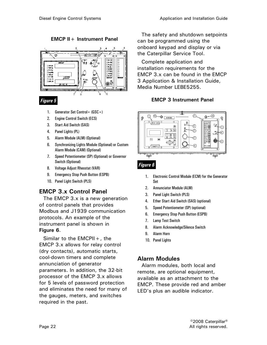EMCP II+ Instrument Panel



- 1. Generator Set Control+ (GSC+)
- 2. Engine Control Switch (ECS)
- 3. Start Aid Switch (SAS)
- 4. Panel Lights (PL)
- 5. Alarm Module (ALM) (Optional)
- 6. Synchronizing Lights Module (Optional) or Custom Alarm Module (CAM) (Optional)
- 7. Speed Potentiometer (SP) (Optional) or Governor Switch (Optional)
- 8. Voltage Adjust Rheostat (VAR)
- 9. Emergency Stop Push Button (ESPB)
- 10. Panel Light Switch (PLS)

### EMCP 3.x Control Panel

The EMCP 3.x is a new generation of control panels that provides Modbus and J1939 communication protocols. An example of the instrument panel is shown in Figure 6.

Similar to the  $EMCPII + I$ , the EMCP 3.x allows for relay control (dry contacts), automatic starts, cool-down timers and complete annunciation of generator parameters. In addition, the 32-bit processor of the EMCP 3.x allows for 5 levels of password protection and eliminates the need for many of the gauges, meters, and switches required in the past.

The safety and shutdown setpoints can be programmed using the onboard keypad and display or via the Caterpillar Service Tool.

Complete application and installation requirements for the EMCP 3.x can be found in the EMCP 3 Application & Installation Guide, Media Number LEBE5255.

### EMCP 3 Instrument Panel



### Figure 6

- 1. Electronic Control Module (ECM) for the Generator Set
- 2. Annunciator Module (ALM)
- 3. Panel Light Switch (PLS)
- 4. Ether Start Aid Switch (SAS) (optional)
- 5. Speed Potentiometer (SP) (optional)
- 6. Emergency Stop Push Button (ESPB)
- 7. Lamp Test Switch
- 8. Alarm Acknowledge/Silence Switch
- 9. Alarm Horn
- 10. Panel Lights

### Alarm Modules

Alarm modules, both local and remote, are optional equipment, available as an attachment to the EMCP. These provide red and amber LED's plus an audible indicator.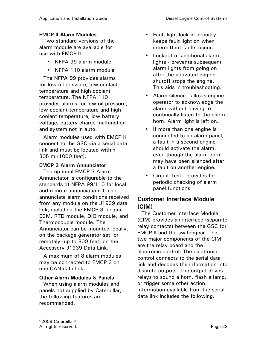### EMCP II Alarm Modules

Two standard versions of the alarm module are available for use with EMCP II.

- NFPA 99 alarm module
- NFPA 110 alarm module

The NFPA 99 provides alarms for low oil pressure, low coolant temperature and high coolant temperature. The NFPA 110 provides alarms for low oil pressure, low coolant temperature and high coolant temperature, low battery voltage, battery charge malfunction and system not in auto.

Alarm modules used with EMCP II connect to the GSC via a serial data link and must be located within 305 m (1000 feet).

### EMCP 3 Alarm Annunciator

The optional EMCP 3 Alarm Annunciator is configurable to the standards of NFPA 99/110 for local and remote annunciation. It can annunciate alarm conditions received from any module on the J1939 data link, including the EMCP 3, engine ECM, RTD module, DIO module, and Thermocouple module. The Annunciator can be mounted locally, on the package generator set, or remotely (up to 800 feet) on the Accessory J1939 Data Link.

A maximum of 8 alarm modules may be connected to EMCP 3 on one CAN data link.

### Other Alarm Modules & Panels

When using alarm modules and panels not supplied by Caterpillar, the following features are recommended.

- Fault light lock-in circuitry keeps fault light on when intermittent faults occur.
- Lockout of additional alarm lights - prevents subsequent alarm lights from going on after the activated engine shutoff stops the engine. This aids in troubleshooting.
- Alarm silence allows engine operator to acknowledge the alarm without having to continually listen to the alarm horn. Alarm light is left on.
- If more than one engine is connected to an alarm panel, a fault in a second engine should activate the alarm, even though the alarm horn may have been silenced after a fault on another engine.
- Circuit Test provides for periodic checking of alarm panel functions

### Customer Interface Module (CIM)

The Customer Interface Module (CIM) provides an interface (separate relay contacts) between the GSC for EMCP II and the switchgear. The two major components of the CIM are the relay board and the electronic control. The electronic control connects to the serial data link and decodes the information into discrete outputs. The output drives relays to sound a horn, flash a lamp, or trigger some other action. Information available from the serial data link includes the following.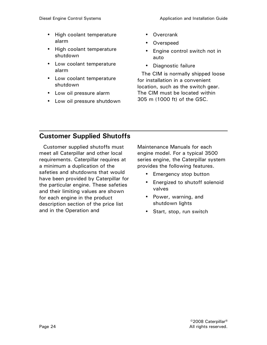- High coolant temperature alarm
- High coolant temperature shutdown
- Low coolant temperature alarm
- Low coolant temperature shutdown
- Low oil pressure alarm
- Low oil pressure shutdown
- Overcrank
- Overspeed
- Engine control switch not in auto
- Diagnostic failure

The CIM is normally shipped loose for installation in a convenient location, such as the switch gear. The CIM must be located within 305 m (1000 ft) of the GSC.

# Customer Supplied Shutoffs

Customer supplied shutoffs must meet all Caterpillar and other local requirements. Caterpillar requires at a minimum a duplication of the safeties and shutdowns that would have been provided by Caterpillar for the particular engine. These safeties and their limiting values are shown for each engine in the product description section of the price list and in the Operation and

Maintenance Manuals for each engine model. For a typical 3500 series engine, the Caterpillar system provides the following features.

- Emergency stop button
- Energized to shutoff solenoid valves
- Power, warning, and shutdown lights
- Start, stop, run switch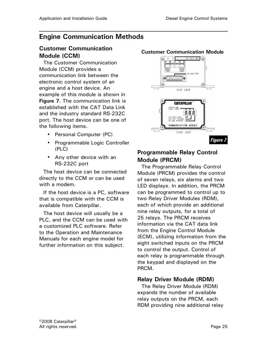# Engine Communication Methods

### Customer Communication Module (CCM)

The Customer Communication Module (CCM) provides a communication link between the electronic control system of an engine and a host device. An example of this module is shown in Figure 7. The communication link is established with the CAT Data Link and the industry standard RS-232C port. The host device can be one of the following items.

- Personal Computer (PC)
- Programmable Logic Controller (PLC)
- Any other device with an RS-232C port

The host device can be connected directly to the CCM or can be used with a modem.

If the host device is a PC, software that is compatible with the CCM is available from Caterpillar.

The host device will usually be a PLC, and the CCM can be used with a customized PLC software. Refer to the Operation and Maintenance Manuals for each engine model for further information on this subject.

#### Customer Communication Module



### Programmable Relay Control Module (PRCM)

The Programmable Relay Control Module (PRCM) provides the control of seven relays, six alarms and two LED displays. In addition, the PRCM can be programmed to control up to two Relay Driver Modules (RDM), each of which provide an additional nine relay outputs, for a total of 25 relays. The PRCM receives information via the CAT data link from the Engine Control Module (ECM), utilizing information from the eight switched inputs on the PRCM to control the output. Control of each relay is programmable through the keypad and displayed on the PRCM.

### Relay Driver Module (RDM)

The Relay Driver Module (RDM) expands the number of available relay outputs on the PRCM, each RDM providing nine additional relay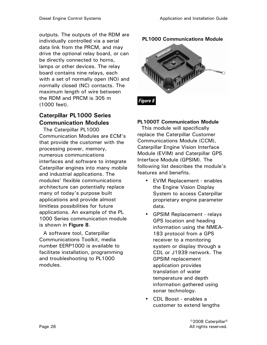outputs. The outputs of the RDM are individually controlled via a serial data link from the PRCM, and may drive the optional relay board, or can be directly connected to horns, lamps or other devices. The relay board contains nine relays, each with a set of normally open (NO) and normally closed (NC) contacts. The maximum length of wire between the RDM and PRCM is 305 m (1000 feet).

### Caterpillar PL1000 Series Communication Modules

The Caterpillar PL1000 Communication Modules are ECM's that provide the customer with the processing power, memory, numerous communications interfaces and software to integrate Caterpillar engines into many mobile and industrial applications. The modules' flexible communications architecture can potentially replace many of today's purpose built applications and provide almost limitless possibilities for future applications. An example of the PL 1000 Series communication module is shown in Figure 8.

A software tool, Caterpillar Communications Toolkit, media number EERP1000 is available to facilitate installation, programming and troubleshooting to PL1000 modules.

PL1000 Communications Module



### PL1000T Communication Module

This module will specifically replace the Caterpillar Customer Communications Module (CCM), Caterpillar Engine Vision Interface Module (EVIM) and Caterpillar GPS Interface Module (GPSIM). The following list describes the module's features and benefits.

- EVIM Replacement enables the Engine Vision Display System to access Caterpillar proprietary engine parameter data.
- GPSIM Replacement relays GPS location and heading information using the NMEA-183 protocol from a GPS receiver to a monitoring system or display through a CDL or J1939 network. The GPSIM replacement application provides translation of water temperature and depth information gathered using sonar technology.
- CDL Boost enables a customer to extend lengths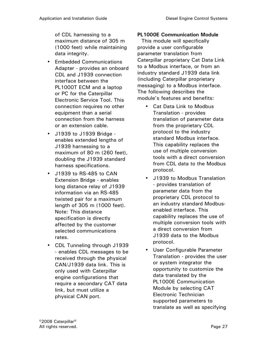of CDL harnessing to a maximum distance of 305 m (1000 feet) while maintaining data integrity.

- Embedded Communications Adapter - provides an onboard CDL and J1939 connection interface between the PL1000T ECM and a laptop or PC for the Caterpillar Electronic Service Tool. This connection requires no other equipment than a serial connection from the harness or an extension cable.
- J1939 to J1939 Bridge enables extended lengths of J1939 harnessing to a maximum of 80 m (260 feet), doubling the J1939 standard harness specifications.
- J1939 to RS-485 to CAN Extension Bridge - enables long distance relay of J1939 information via an RS-485 twisted pair for a maximum length of 305 m (1000 feet). Note: This distance specification is directly affected by the customer selected communications rates.
- CDL Tunneling through J1939 - enables CDL messages to be received through the physical CAN/J1939 data link. This is only used with Caterpillar engine configurations that require a secondary CAT data link, but must utilize a physical CAN port.

### PL1000E Communication Module

This module will specifically provide a user configurable parameter translation from Caterpillar proprietary Cat Data Link to a Modbus interface, or from an industry standard J1939 data link (including Caterpillar proprietary messaging) to a Modbus interface. The following describes the module's features and benefits:

- Cat Data Link to Modbus Translation - provides translation of parameter data from the proprietary CDL protocol to the industry standard Modbus interface. This capability replaces the use of multiple conversion tools with a direct conversion from CDL data to the Modbus protocol.
- J1939 to Modbus Translation - provides translation of parameter data from the proprietary CDL protocol to an industry standard Modbusenabled interface. This capability replaces the use of multiple conversion tools with a direct conversion from J1939 data to the Modbus protocol.
- User Configurable Parameter Translation - provides the user or system integrator the opportunity to customize the data translated by the PL1000E Communication Module by selecting CAT Electronic Technician supported parameters to translate as well as specifying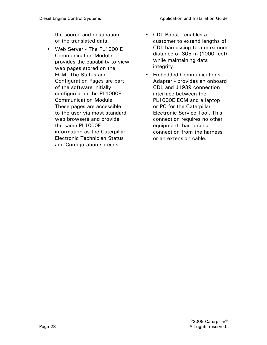the source and destination of the translated data.

- Web Server The PL1000 E Communication Module provides the capability to view web pages stored on the ECM. The Status and Configuration Pages are part of the software initially configured on the PL1000E Communication Module. These pages are accessible to the user via most standard web browsers and provide the same PL1000E information as the Caterpillar Electronic Technician Status and Configuration screens.
- CDL Boost enables a customer to extend lengths of CDL harnessing to a maximum distance of 305 m (1000 feet) while maintaining data integrity.
- Embedded Communications Adapter - provides an onboard CDL and J1939 connection interface between the PL1000E ECM and a laptop or PC for the Caterpillar Electronic Service Tool. This connection requires no other equipment than a serial connection from the harness or an extension cable.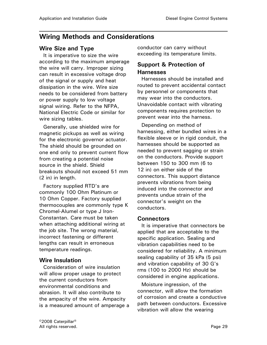# Wiring Methods and Considerations

### Wire Size and Type

It is imperative to size the wire according to the maximum amperage the wire will carry. Improper sizing can result in excessive voltage drop of the signal or supply and heat dissipation in the wire. Wire size needs to be considered from battery or power supply to low voltage signal wiring. Refer to the NFPA, National Electric Code or similar for wire sizing tables.

Generally, use shielded wire for magnetic pickups as well as wiring for the electronic governor actuator. The shield should be grounded on one end only to prevent current flow from creating a potential noise source in the shield. Shield breakouts should not exceed 51 mm (2 in) in length.

Factory supplied RTD's are commonly 100 Ohm Platinum or 10 Ohm Copper. Factory supplied thermocouples are commonly type K Chromel-Alumel or type J Iron-Constantan. Care must be taken when attaching additional wiring at the job site. The wrong material, incorrect fastening or different lengths can result in erroneous temperature readings.

### Wire Insulation

Consideration of wire insulation will allow proper usage to protect the current conductors from environmental conditions and abrasion. It will also contribute to the ampacity of the wire. Ampacity is a measured amount of amperage a conductor can carry without exceeding its temperature limits.

### Support & Protection of Harnesses

Harnesses should be installed and routed to prevent accidental contact by personnel or components that may wear into the conductors. Unavoidable contact with vibrating components requires protection to prevent wear into the harness.

Depending on method of harnessing, either bundled wires in a flexible sleeve or in rigid conduit, the harnesses should be supported as needed to prevent sagging or strain on the conductors. Provide support between 150 to 300 mm (6 to 12 in) on either side of the connectors. This support distance prevents vibrations from being induced into the connector and prevents undue strain of the connector's weight on the conductors.

### Connectors

It is imperative that connectors be applied that are acceptable to the specific application. Sealing and vibration capabilities need to be considered for reliability. A minimum sealing capability of 35 kPa (5 psi) and vibration capability of 30 G's rms (100 to 2000 Hz) should be considered in engine applications.

Moisture ingression, of the connector, will allow the formation of corrosion and create a conductive path between conductors. Excessive vibration will allow the wearing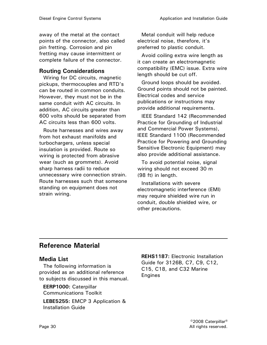away of the metal at the contact points of the connector, also called pin fretting. Corrosion and pin fretting may cause intermittent or complete failure of the connector.

### Routing Considerations

Wiring for DC circuits, magnetic pickups, thermocouples and RTD's can be routed in common conduits. However, they must not be in the same conduit with AC circuits. In addition, AC circuits greater than 600 volts should be separated from AC circuits less than 600 volts.

Route harnesses and wires away from hot exhaust manifolds and turbochargers, unless special insulation is provided. Route so wiring is protected from abrasive wear (such as grommets). Avoid sharp harness radii to reduce unnecessary wire connection strain. Route harnesses such that someone standing on equipment does not strain wiring.

Metal conduit will help reduce electrical noise, therefore, it's preferred to plastic conduit.

Avoid coiling extra wire length as it can create an electromagnetic compatibility (EMC) issue. Extra wire length should be cut off.

Ground loops should be avoided. Ground points should not be painted. Electrical codes and service publications or instructions may provide additional requirements.

IEEE Standard 142 (Recommended Practice for Grounding of Industrial and Commercial Power Systems), IEEE Standard 1100 (Recommended Practice for Powering and Grounding Sensitive Electronic Equipment) may also provide additional assistance.

To avoid potential noise, signal wiring should not exceed 30 m (98 ft) in length.

Installations with severe electromagnetic interference (EMI) may require shielded wire run in conduit, double shielded wire, or other precautions.

# Reference Material

### Media List

The following information is provided as an additional reference to subjects discussed in this manual.

EERP1000: Caterpillar Communications Toolkit

LEBE5255: EMCP 3 Application & Installation Guide

REHS1187: Electronic Installation Guide for 3126B, C7, C9, C12, C15, C18, and C32 Marine Engines